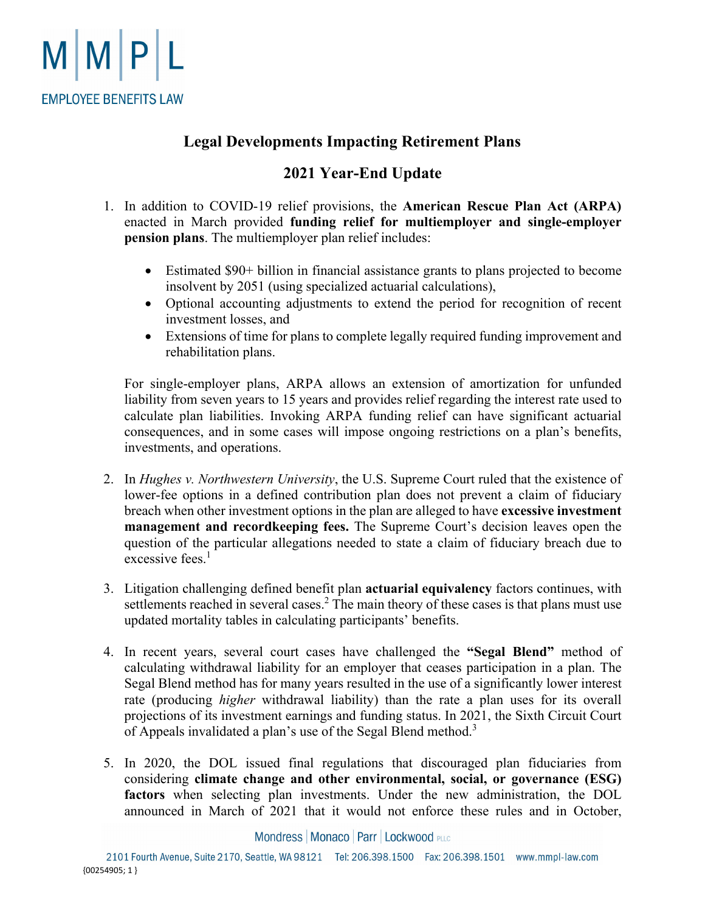

## **Legal Developments Impacting Retirement Plans**

## **2021 Year-End Update**

- 1. In addition to COVID-19 relief provisions, the **American Rescue Plan Act (ARPA)** enacted in March provided **funding relief for multiemployer and single-employer pension plans**. The multiemployer plan relief includes:
	- Estimated \$90+ billion in financial assistance grants to plans projected to become insolvent by 2051 (using specialized actuarial calculations),
	- Optional accounting adjustments to extend the period for recognition of recent investment losses, and
	- Extensions of time for plans to complete legally required funding improvement and rehabilitation plans.

For single-employer plans, ARPA allows an extension of amortization for unfunded liability from seven years to 15 years and provides relief regarding the interest rate used to calculate plan liabilities. Invoking ARPA funding relief can have significant actuarial consequences, and in some cases will impose ongoing restrictions on a plan's benefits, investments, and operations.

- 2. In *Hughes v. Northwestern University*, the U.S. Supreme Court ruled that the existence of lower-fee options in a defined contribution plan does not prevent a claim of fiduciary breach when other investment options in the plan are alleged to have **excessive investment management and recordkeeping fees.** The Supreme Court's decision leaves open the question of the particular allegations needed to state a claim of fiduciary breach due to excessive fees.<sup>1</sup>
- 3. Litigation challenging defined benefit plan **actuarial equivalency** factors continues, with settlements reached in several cases.<sup>2</sup> The main theory of these cases is that plans must use updated mortality tables in calculating participants' benefits.
- 4. In recent years, several court cases have challenged the **"Segal Blend"** method of calculating withdrawal liability for an employer that ceases participation in a plan. The Segal Blend method has for many years resulted in the use of a significantly lower interest rate (producing *higher* withdrawal liability) than the rate a plan uses for its overall projections of its investment earnings and funding status. In 2021, the Sixth Circuit Court of Appeals invalidated a plan's use of the Segal Blend method.<sup>3</sup>
- 5. In 2020, the DOL issued final regulations that discouraged plan fiduciaries from considering **climate change and other environmental, social, or governance (ESG) factors** when selecting plan investments. Under the new administration, the DOL announced in March of 2021 that it would not enforce these rules and in October,

Mondress | Monaco | Parr | Lockwood PLLC

2101 Fourth Avenue, Suite 2170, Seattle, WA 98121 Tel: 206.398.1500 Fax: 206.398.1501 www.mmpl-law.com {00254905; 1 }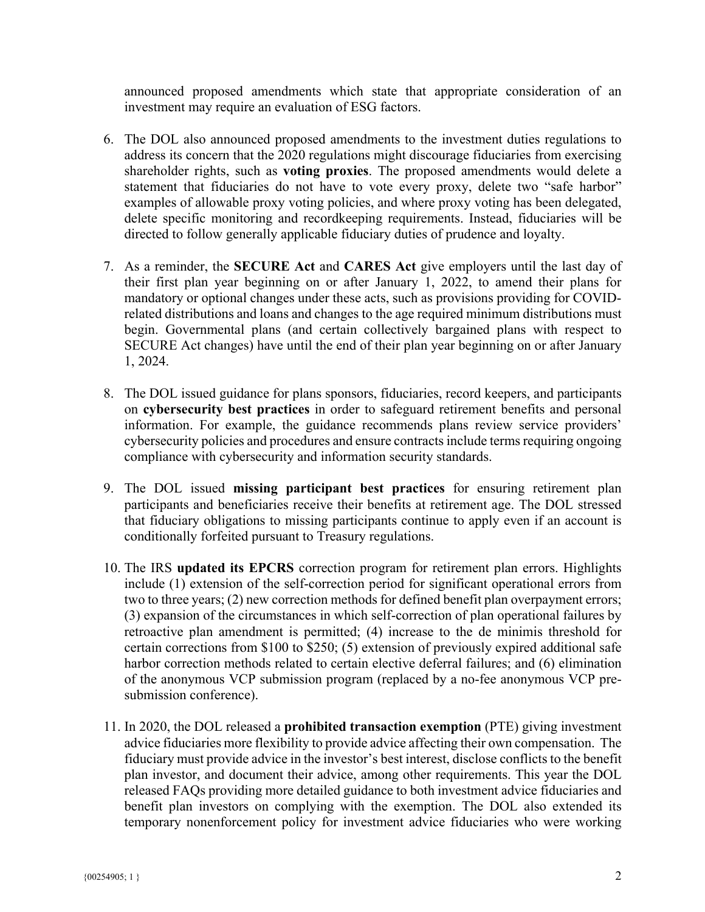announced proposed amendments which state that appropriate consideration of an investment may require an evaluation of ESG factors.

- 6. The DOL also announced proposed amendments to the investment duties regulations to address its concern that the 2020 regulations might discourage fiduciaries from exercising shareholder rights, such as **voting proxies**. The proposed amendments would delete a statement that fiduciaries do not have to vote every proxy, delete two "safe harbor" examples of allowable proxy voting policies, and where proxy voting has been delegated, delete specific monitoring and recordkeeping requirements. Instead, fiduciaries will be directed to follow generally applicable fiduciary duties of prudence and loyalty.
- 7. As a reminder, the **SECURE Act** and **CARES Act** give employers until the last day of their first plan year beginning on or after January 1, 2022, to amend their plans for mandatory or optional changes under these acts, such as provisions providing for COVIDrelated distributions and loans and changes to the age required minimum distributions must begin. Governmental plans (and certain collectively bargained plans with respect to SECURE Act changes) have until the end of their plan year beginning on or after January 1, 2024.
- 8. The DOL issued guidance for plans sponsors, fiduciaries, record keepers, and participants on **cybersecurity best practices** in order to safeguard retirement benefits and personal information. For example, the guidance recommends plans review service providers' cybersecurity policies and procedures and ensure contracts include terms requiring ongoing compliance with cybersecurity and information security standards.
- 9. The DOL issued **missing participant best practices** for ensuring retirement plan participants and beneficiaries receive their benefits at retirement age. The DOL stressed that fiduciary obligations to missing participants continue to apply even if an account is conditionally forfeited pursuant to Treasury regulations.
- 10. The IRS **updated its EPCRS** correction program for retirement plan errors. Highlights include (1) extension of the self-correction period for significant operational errors from two to three years; (2) new correction methods for defined benefit plan overpayment errors; (3) expansion of the circumstances in which self-correction of plan operational failures by retroactive plan amendment is permitted; (4) increase to the de minimis threshold for certain corrections from \$100 to \$250; (5) extension of previously expired additional safe harbor correction methods related to certain elective deferral failures; and (6) elimination of the anonymous VCP submission program (replaced by a no-fee anonymous VCP presubmission conference).
- 11. In 2020, the DOL released a **prohibited transaction exemption** (PTE) giving investment advice fiduciaries more flexibility to provide advice affecting their own compensation. The fiduciary must provide advice in the investor's best interest, disclose conflicts to the benefit plan investor, and document their advice, among other requirements. This year the DOL released FAQs providing more detailed guidance to both investment advice fiduciaries and benefit plan investors on complying with the exemption. The DOL also extended its temporary nonenforcement policy for investment advice fiduciaries who were working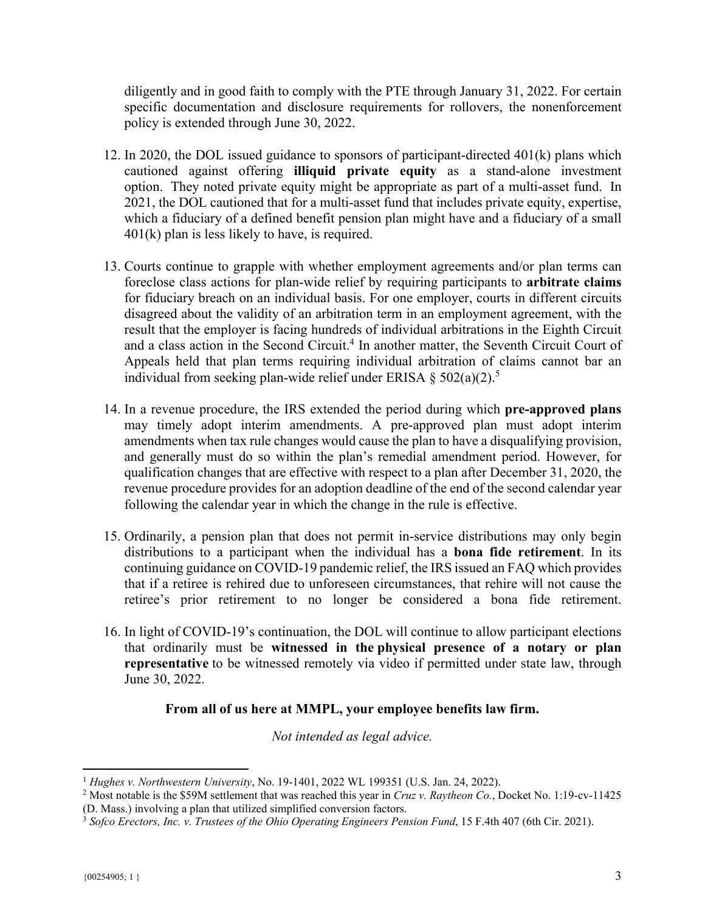diligently and in good faith to comply with the PTE through January 31, 2022. For certain specific documentation and disclosure requirements for rollovers, the nonenforcement policy is extended through June 30, 2022.

- 12. In 2020, the DOL issued guidance to sponsors of participant-directed 401(k) plans which cautioned against offering **illiquid private equity** as a stand-alone investment option. They noted private equity might be appropriate as part of a multi-asset fund. In 2021, the DOL cautioned that for a multi-asset fund that includes private equity, expertise, which a fiduciary of a defined benefit pension plan might have and a fiduciary of a small 401(k) plan is less likely to have, is required.
- 13. Courts continue to grapple with whether employment agreements and/or plan terms can foreclose class actions for plan-wide relief by requiring participants to **arbitrate claims** for fiduciary breach on an individual basis. For one employer, courts in different circuits disagreed about the validity of an arbitration term in an employment agreement, with the result that the employer is facing hundreds of individual arbitrations in the Eighth Circuit and a class action in the Second Circuit.<sup>4</sup> In another matter, the Seventh Circuit Court of Appeals held that plan terms requiring individual arbitration of claims cannot bar an individual from seeking plan-wide relief under ERISA  $\S 502(a)(2)$ .<sup>5</sup>
- 14. In a revenue procedure, the IRS extended the period during which **pre-approved plans** may timely adopt interim amendments. A pre-approved plan must adopt interim amendments when tax rule changes would cause the plan to have a disqualifying provision, and generally must do so within the plan's remedial amendment period. However, for qualification changes that are effective with respect to a plan after December 31, 2020, the revenue procedure provides for an adoption deadline of the end of the second calendar year following the calendar year in which the change in the rule is effective.
- 15. Ordinarily, a pension plan that does not permit in-service distributions may only begin distributions to a participant when the individual has a **bona fide retirement**. In its continuing guidance on COVID-19 pandemic relief, the IRS issued an FAQ which provides that if a retiree is rehired due to unforeseen circumstances, that rehire will not cause the retiree's prior retirement to no longer be considered a bona fide retirement.
- 16. In light of COVID-19's continuation, the DOL will continue to allow participant elections that ordinarily must be **witnessed in the physical presence of a notary or plan representative** to be witnessed remotely via video if permitted under state law, through June 30, 2022.

## **From all of us here at MMPL, your employee benefits law firm.**

*Not intended as legal advice.* 

<sup>1</sup> *Hughes v. Northwestern University*, No. 19-1401, 2022 WL 199351 (U.S. Jan. 24, 2022). 2

<sup>&</sup>lt;sup>2</sup> Most notable is the \$59M settlement that was reached this year in *Cruz v. Raytheon Co.*, Docket No. 1:19-cv-11425 (D. Mass.) involving a plan that utilized simplified conversion factors.

<sup>&</sup>lt;sup>3</sup> Sofco Erectors, Inc. v. Trustees of the Ohio Operating Engineers Pension Fund, 15 F.4th 407 (6th Cir. 2021).